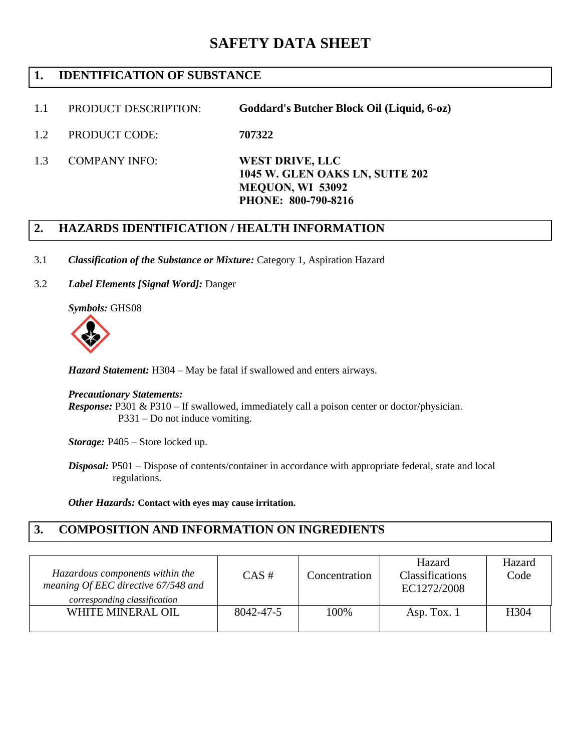# **SAFETY DATA SHEET**

## **1. IDENTIFICATION OF SUBSTANCE**

- 1.1 PRODUCT DESCRIPTION: **Goddard's Butcher Block Oil (Liquid, 6-oz)**
- 1.2 PRODUCT CODE: **707322**
- 1.3 COMPANY INFO: **WEST DRIVE, LLC 1045 W. GLEN OAKS LN, SUITE 202 MEQUON, WI 53092 PHONE: 800-790-8216**

### **2. HAZARDS IDENTIFICATION / HEALTH INFORMATION**

- 3.1 *Classification of the Substance or Mixture:* Category 1, Aspiration Hazard
- 3.2 *Label Elements [Signal Word]:* Danger

*Symbols:* GHS08



*Hazard Statement:* H304 – May be fatal if swallowed and enters airways.

#### *Precautionary Statements:*

*Response:* P301 & P310 – If swallowed, immediately call a poison center or doctor/physician. P331 – Do not induce vomiting.

*Storage:* P405 – Store locked up.

*Disposal:* P501 – Dispose of contents/container in accordance with appropriate federal, state and local regulations.

*Other Hazards:* **Contact with eyes may cause irritation.** 

### **3. COMPOSITION AND INFORMATION ON INGREDIENTS**

| Hazardous components within the<br>meaning Of EEC directive 67/548 and<br>corresponding classification | $CAS \#$  | Concentration | Hazard<br>Classifications<br>EC1272/2008 | Hazard<br>Code |
|--------------------------------------------------------------------------------------------------------|-----------|---------------|------------------------------------------|----------------|
| WHITE MINERAL OIL                                                                                      | 8042-47-5 | 100%          | Asp. Tox. 1                              | H304           |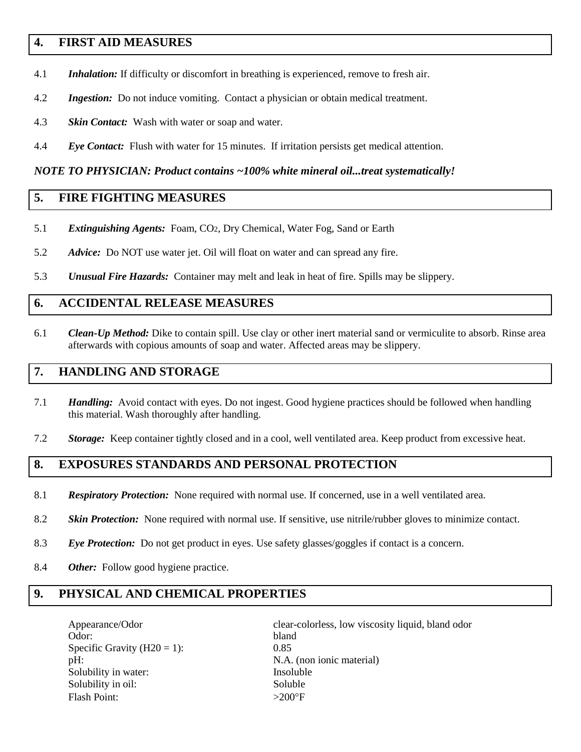### **4. FIRST AID MEASURES**

- 4.1 *Inhalation:* If difficulty or discomfort in breathing is experienced, remove to fresh air.
- 4.2 *Ingestion:* Do not induce vomiting. Contact a physician or obtain medical treatment.
- 4.3 *Skin Contact:* Wash with water or soap and water.
- 4.4 *Eye Contact:* Flush with water for 15 minutes. If irritation persists get medical attention.

#### *NOTE TO PHYSICIAN: Product contains ~100% white mineral oil...treat systematically!*

### **5. FIRE FIGHTING MEASURES**

- 5.1 *Extinguishing Agents:* Foam, CO2, Dry Chemical, Water Fog, Sand or Earth
- 5.2 *Advice:* Do NOT use water jet. Oil will float on water and can spread any fire.
- 5.3 *Unusual Fire Hazards:* Container may melt and leak in heat of fire. Spills may be slippery.

#### **6. ACCIDENTAL RELEASE MEASURES**

6.1 *Clean-Up Method:* Dike to contain spill. Use clay or other inert material sand or vermiculite to absorb. Rinse area afterwards with copious amounts of soap and water. Affected areas may be slippery.

# **7. HANDLING AND STORAGE**

- 7.1 *Handling:*Avoid contact with eyes. Do not ingest. Good hygiene practices should be followed when handling this material. Wash thoroughly after handling.
- 7.2 *Storage:* Keep container tightly closed and in a cool, well ventilated area. Keep product from excessive heat.

### **8. EXPOSURES STANDARDS AND PERSONAL PROTECTION**

- 8.1 *Respiratory Protection:* None required with normal use. If concerned, use in a well ventilated area.
- 8.2 *Skin Protection:* None required with normal use. If sensitive, use nitrile/rubber gloves to minimize contact.
- 8.3 *Eye Protection:* Do not get product in eyes. Use safety glasses/goggles if contact is a concern.
- 8.4 *Other:* Follow good hygiene practice.

# **9. PHYSICAL AND CHEMICAL PROPERTIES**

Odor: bland Specific Gravity  $(H20 = 1)$ : 0.85 pH: N.A. (non ionic material) Solubility in water: Insoluble Solubility in oil: Soluble Flash Point:  $>200^{\circ}F$ 

Appearance/Odor clear-colorless, low viscosity liquid, bland odor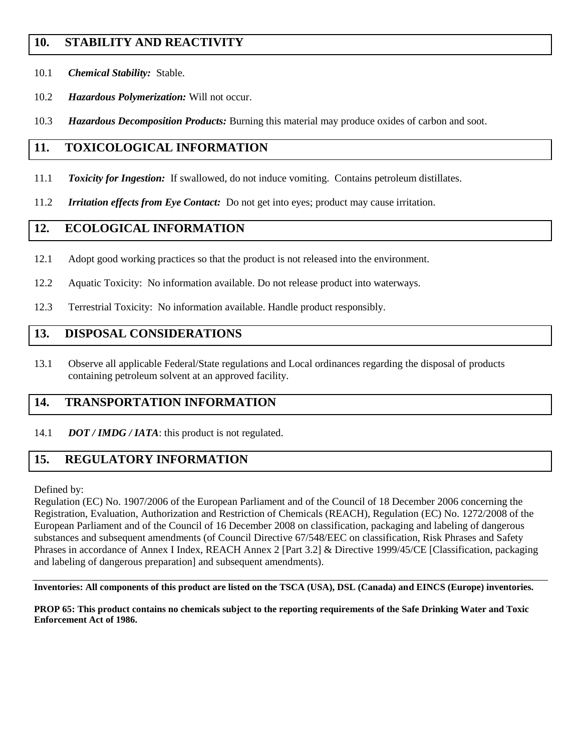# **10. STABILITY AND REACTIVITY**

- 10.1 *Chemical Stability:* Stable.
- 10.2 *Hazardous Polymerization:* Will not occur.
- 10.3 *Hazardous Decomposition Products:* Burning this material may produce oxides of carbon and soot.

# **11. TOXICOLOGICAL INFORMATION**

- 11.1 *Toxicity for Ingestion:* If swallowed, do not induce vomiting. Contains petroleum distillates.
- 11.2 *Irritation effects from Eye Contact:* Do not get into eyes; product may cause irritation.

### **12. ECOLOGICAL INFORMATION**

- 12.1 Adopt good working practices so that the product is not released into the environment.
- 12.2 Aquatic Toxicity: No information available. Do not release product into waterways.
- 12.3 Terrestrial Toxicity: No information available. Handle product responsibly.

### **13. DISPOSAL CONSIDERATIONS**

13.1 Observe all applicable Federal/State regulations and Local ordinances regarding the disposal of products containing petroleum solvent at an approved facility.

#### **14. TRANSPORTATION INFORMATION**

14.1 *DOT / IMDG / IATA*: this product is not regulated.

### **15. REGULATORY INFORMATION**

#### Defined by:

Regulation (EC) No. 1907/2006 of the European Parliament and of the Council of 18 December 2006 concerning the Registration, Evaluation, Authorization and Restriction of Chemicals (REACH), Regulation (EC) No. 1272/2008 of the European Parliament and of the Council of 16 December 2008 on classification, packaging and labeling of dangerous substances and subsequent amendments (of Council Directive 67/548/EEC on classification, Risk Phrases and Safety Phrases in accordance of Annex I Index, REACH Annex 2 [Part 3.2] & Directive 1999/45/CE [Classification, packaging and labeling of dangerous preparation] and subsequent amendments).

**Inventories: All components of this product are listed on the TSCA (USA), DSL (Canada) and EINCS (Europe) inventories.** 

**PROP 65: This product contains no chemicals subject to the reporting requirements of the Safe Drinking Water and Toxic Enforcement Act of 1986.**